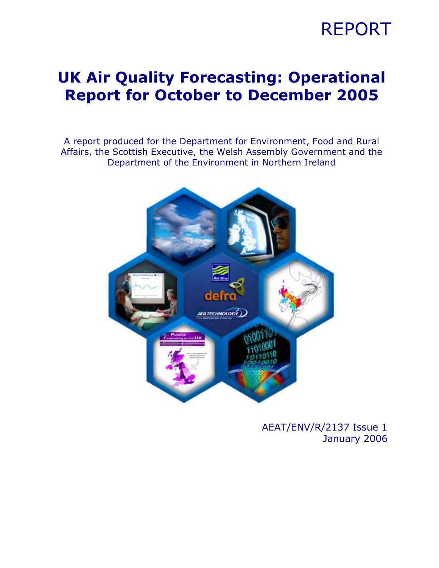# REPORT

# UK Air Quality Forecasting: Operational Report for October to December 2005

A report produced for the Department for Environment, Food and Rural Affairs, the Scottish Executive, the Welsh Assembly Government and the Department of the Environment in Northern Ireland



AEAT/ENV/R/2137 Issue 1 January 2006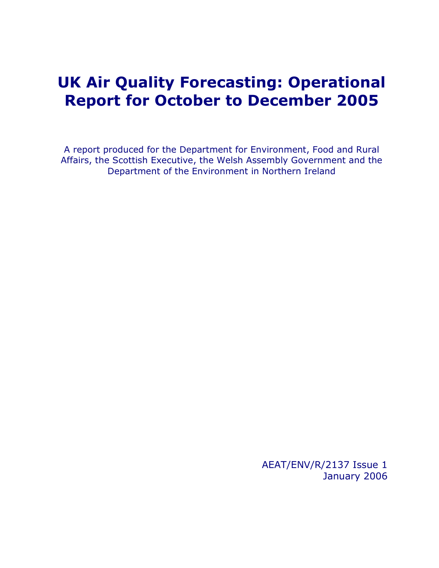### UK Air Quality Forecasting: Operational Report for October to December 2005

A report produced for the Department for Environment, Food and Rural Affairs, the Scottish Executive, the Welsh Assembly Government and the Department of the Environment in Northern Ireland

> AEAT/ENV/R/2137 Issue 1 January 2006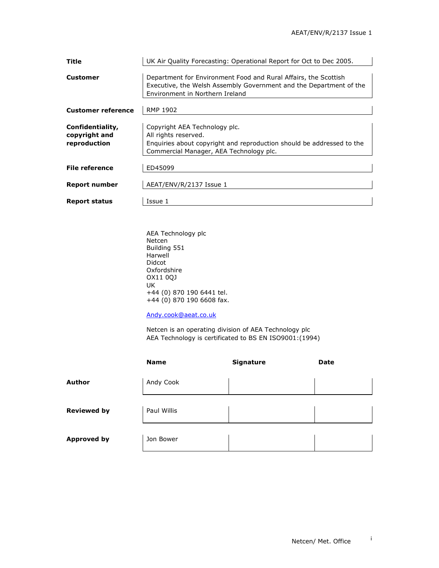| Title                                             | UK Air Quality Forecasting: Operational Report for Oct to Dec 2005.                                                                                                       |
|---------------------------------------------------|---------------------------------------------------------------------------------------------------------------------------------------------------------------------------|
| <b>Customer</b>                                   | Department for Environment Food and Rural Affairs, the Scottish<br>Executive, the Welsh Assembly Government and the Department of the<br>Environment in Northern Ireland  |
| <b>Customer reference</b>                         | <b>RMP 1902</b>                                                                                                                                                           |
| Confidentiality,<br>copyright and<br>reproduction | Copyright AEA Technology plc.<br>All rights reserved.<br>Enquiries about copyright and reproduction should be addressed to the<br>Commercial Manager, AEA Technology plc. |
| <b>File reference</b>                             | ED45099                                                                                                                                                                   |
| <b>Report number</b>                              | AEAT/ENV/R/2137 Issue 1                                                                                                                                                   |
| <b>Report status</b>                              | Issue 1                                                                                                                                                                   |

AEA Technology plc Netcen Building 551 Harwell Didcot Oxfordshire OX11 0QJ UK +44 (0) 870 190 6441 tel.  $+44(0)$  870 190 6608 fax.

#### Andy.cook@aeat.co.uk

 Netcen is an operating division of AEA Technology plc AEA Technology is certificated to BS EN ISO9001:(1994)

|                    | <b>Name</b> | <b>Signature</b> | <b>Date</b> |
|--------------------|-------------|------------------|-------------|
| <b>Author</b>      | Andy Cook   |                  |             |
| <b>Reviewed by</b> | Paul Willis |                  |             |
| <b>Approved by</b> | Jon Bower   |                  |             |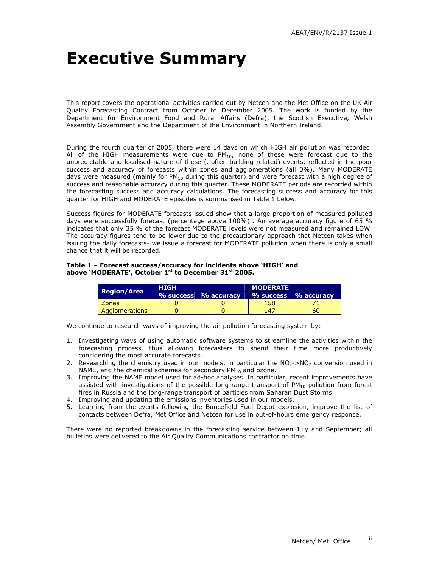# Executive Summary

This report covers the operational activities carried out by Netcen and the Met Office on the UK Air Quality Forecasting Contract from October to December 2005. The work is funded by the Department for Environment Food and Rural Affairs (Defra), the Scottish Executive, Welsh Assembly Government and the Department of the Environment in Northern Ireland.

During the fourth quarter of 2005, there were 14 days on which HIGH air pollution was recorded. All of the HIGH measurements were due to  $PM_{10}$ , none of these were forecast due to the unpredictable and localised nature of these (..often building related) events, reflected in the poor success and accuracy of forecasts within zones and agglomerations (all 0%). Many MODERATE days were measured (mainly for  $PM_{10}$  during this quarter) and were forecast with a high degree of success and reasonable accuracy during this quarter. These MODERATE periods are recorded within the forecasting success and accuracy calculations. The forecasting success and accuracy for this quarter for HIGH and MODERATE episodes is summarised in Table 1 below.

Success figures for MODERATE forecasts issued show that a large proportion of measured polluted days were successfully forecast (percentage above  $100\%)^1$ . An average accuracy figure of 65 % indicates that only 35 % of the forecast MODERATE levels were not measured and remained LOW. The accuracy figures tend to be lower due to the precautionary approach that Netcen takes when issuing the daily forecasts- we issue a forecast for MODERATE pollution when there is only a small chance that it will be recorded.

#### Table 1 – Forecast success/accuracy for incidents above 'HIGH' and above 'MODERATE', October 1<sup>st</sup> to December 31<sup>st</sup> 2005.

|                    | <b>HIGH</b> |                      | <b>MODERATE</b> |                      |  |  |  |
|--------------------|-------------|----------------------|-----------------|----------------------|--|--|--|
| <b>Region/Area</b> |             | % success % accuracy |                 | % success % accuracy |  |  |  |
| Zones              |             |                      | 158             |                      |  |  |  |
| Agglomerations     |             |                      | 147             | 60                   |  |  |  |

We continue to research ways of improving the air pollution forecasting system by:

- 1. Investigating ways of using automatic software systems to streamline the activities within the forecasting process, thus allowing forecasters to spend their time more productively considering the most accurate forecasts.
- 2. Researching the chemistry used in our models, in particular the  $NO<sub>x</sub>$ ->NO<sub>2</sub> conversion used in NAME, and the chemical schemes for secondary  $PM_{10}$  and ozone.
- 3. Improving the NAME model used for ad-hoc analyses. In particular, recent improvements have assisted with investigations of the possible long-range transport of  $PM_{10}$  pollution from forest fires in Russia and the long-range transport of particles from Saharan Dust Storms.
- 4. Improving and updating the emissions inventories used in our models.
- 5. Learning from the events following the Buncefield Fuel Depot explosion, improve the list of contacts between Defra, Met Office and Netcen for use in out-of-hours emergency response.

There were no reported breakdowns in the forecasting service between July and September; all bulletins were delivered to the Air Quality Communications contractor on time.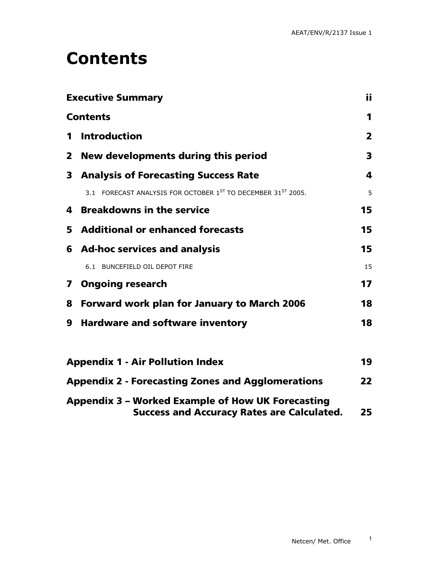# **Contents**

|              | <b>Executive Summary</b>                                                                                      | ii.                     |
|--------------|---------------------------------------------------------------------------------------------------------------|-------------------------|
|              | <b>Contents</b>                                                                                               | 1                       |
| 1            | <b>Introduction</b>                                                                                           | $\overline{\mathbf{2}}$ |
|              | 2 New developments during this period                                                                         | 3                       |
|              | <b>3 Analysis of Forecasting Success Rate</b>                                                                 | 4                       |
|              | 3.1 FORECAST ANALYSIS FOR OCTOBER 1ST TO DECEMBER 31ST 2005.                                                  | 5                       |
| 4            | <b>Breakdowns in the service</b>                                                                              | 15                      |
| 5.           | <b>Additional or enhanced forecasts</b>                                                                       | 15                      |
|              | <b>6 Ad-hoc services and analysis</b>                                                                         | 15                      |
|              | 6.1 BUNCEFIELD OIL DEPOT FIRE                                                                                 | 15                      |
| $\mathbf{7}$ | <b>Ongoing research</b>                                                                                       | 17                      |
| 8            | <b>Forward work plan for January to March 2006</b>                                                            | 18                      |
| 9            | <b>Hardware and software inventory</b>                                                                        | 18                      |
|              | <b>Appendix 1 - Air Pollution Index</b>                                                                       | 19                      |
|              | <b>Appendix 2 - Forecasting Zones and Agglomerations</b>                                                      | 22                      |
|              | <b>Appendix 3 - Worked Example of How UK Forecasting</b><br><b>Success and Accuracy Rates are Calculated.</b> | 25                      |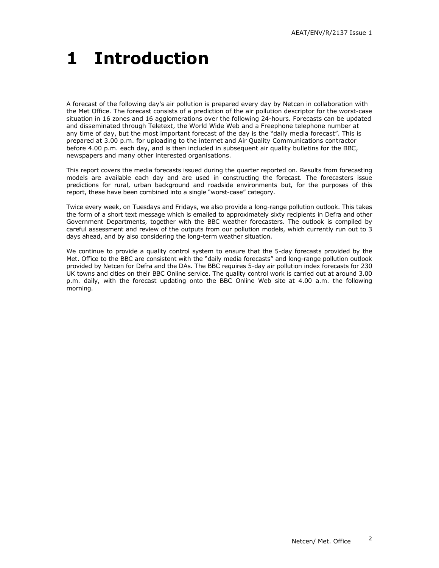# 1 Introduction

A forecast of the following day's air pollution is prepared every day by Netcen in collaboration with the Met Office. The forecast consists of a prediction of the air pollution descriptor for the worst-case situation in 16 zones and 16 agglomerations over the following 24-hours. Forecasts can be updated and disseminated through Teletext, the World Wide Web and a Freephone telephone number at any time of day, but the most important forecast of the day is the "daily media forecast". This is prepared at 3.00 p.m. for uploading to the internet and Air Quality Communications contractor before 4.00 p.m. each day, and is then included in subsequent air quality bulletins for the BBC, newspapers and many other interested organisations.

This report covers the media forecasts issued during the quarter reported on. Results from forecasting models are available each day and are used in constructing the forecast. The forecasters issue predictions for rural, urban background and roadside environments but, for the purposes of this report, these have been combined into a single "worst-case" category.

Twice every week, on Tuesdays and Fridays, we also provide a long-range pollution outlook. This takes the form of a short text message which is emailed to approximately sixty recipients in Defra and other Government Departments, together with the BBC weather forecasters. The outlook is compiled by careful assessment and review of the outputs from our pollution models, which currently run out to 3 days ahead, and by also considering the long-term weather situation.

We continue to provide a quality control system to ensure that the 5-day forecasts provided by the Met. Office to the BBC are consistent with the "daily media forecasts" and long-range pollution outlook provided by Netcen for Defra and the DAs. The BBC requires 5-day air pollution index forecasts for 230 UK towns and cities on their BBC Online service. The quality control work is carried out at around 3.00 p.m. daily, with the forecast updating onto the BBC Online Web site at 4.00 a.m. the following morning.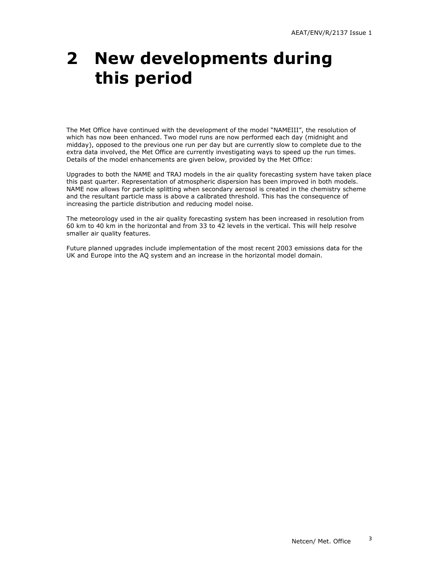# 2 New developments during this period

The Met Office have continued with the development of the model "NAMEIII", the resolution of which has now been enhanced. Two model runs are now performed each day (midnight and midday), opposed to the previous one run per day but are currently slow to complete due to the extra data involved, the Met Office are currently investigating ways to speed up the run times. Details of the model enhancements are given below, provided by the Met Office:

Upgrades to both the NAME and TRAJ models in the air quality forecasting system have taken place this past quarter. Representation of atmospheric dispersion has been improved in both models. NAME now allows for particle splitting when secondary aerosol is created in the chemistry scheme and the resultant particle mass is above a calibrated threshold. This has the consequence of increasing the particle distribution and reducing model noise.

The meteorology used in the air quality forecasting system has been increased in resolution from 60 km to 40 km in the horizontal and from 33 to 42 levels in the vertical. This will help resolve smaller air quality features.

Future planned upgrades include implementation of the most recent 2003 emissions data for the UK and Europe into the AQ system and an increase in the horizontal model domain.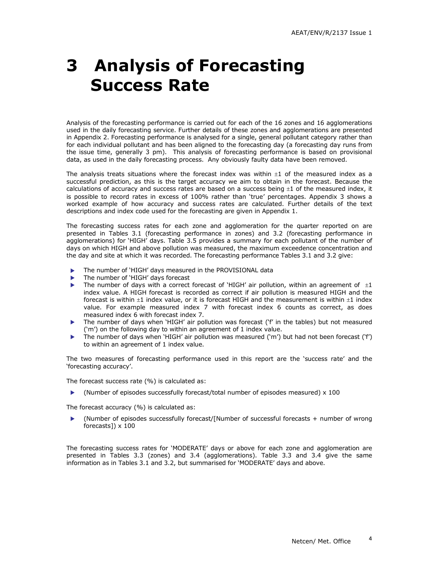# 3 Analysis of Forecasting Success Rate

Analysis of the forecasting performance is carried out for each of the 16 zones and 16 agglomerations used in the daily forecasting service. Further details of these zones and agglomerations are presented in Appendix 2. Forecasting performance is analysed for a single, general pollutant category rather than for each individual pollutant and has been aligned to the forecasting day (a forecasting day runs from the issue time, generally 3 pm). This analysis of forecasting performance is based on provisional data, as used in the daily forecasting process. Any obviously faulty data have been removed.

The analysis treats situations where the forecast index was within  $\pm 1$  of the measured index as a successful prediction, as this is the target accuracy we aim to obtain in the forecast. Because the calculations of accuracy and success rates are based on a success being  $\pm 1$  of the measured index, it is possible to record rates in excess of 100% rather than 'true' percentages. Appendix 3 shows a worked example of how accuracy and success rates are calculated. Further details of the text descriptions and index code used for the forecasting are given in Appendix 1.

The forecasting success rates for each zone and agglomeration for the quarter reported on are presented in Tables 3.1 (forecasting performance in zones) and 3.2 (forecasting performance in agglomerations) for 'HIGH' days. Table 3.5 provides a summary for each pollutant of the number of days on which HIGH and above pollution was measured, the maximum exceedence concentration and the day and site at which it was recorded. The forecasting performance Tables 3.1 and 3.2 give:

- The number of 'HIGH' days measured in the PROVISIONAL data
- The number of 'HIGH' days forecast
- The number of days with a correct forecast of 'HIGH' air pollution, within an agreement of  $\pm 1$ index value. A HIGH forecast is recorded as correct if air pollution is measured HIGH and the forecast is within  $\pm 1$  index value, or it is forecast HIGH and the measurement is within  $\pm 1$  index value. For example measured index 7 with forecast index 6 counts as correct, as does measured index 6 with forecast index 7.
- The number of days when 'HIGH' air pollution was forecast ('f' in the tables) but not measured ('m') on the following day to within an agreement of 1 index value.
- The number of days when 'HIGH' air pollution was measured ('m') but had not been forecast ('f') to within an agreement of 1 index value.

The two measures of forecasting performance used in this report are the 'success rate' and the 'forecasting accuracy'.

The forecast success rate (%) is calculated as:

 $\blacktriangleright$  (Number of episodes successfully forecast/total number of episodes measured)  $\times$  100

The forecast accuracy (%) is calculated as:

 (Number of episodes successfully forecast/[Number of successful forecasts + number of wrong forecasts]) x 100

The forecasting success rates for 'MODERATE' days or above for each zone and agglomeration are presented in Tables 3.3 (zones) and 3.4 (agglomerations). Table 3.3 and 3.4 give the same information as in Tables 3.1 and 3.2, but summarised for 'MODERATE' days and above.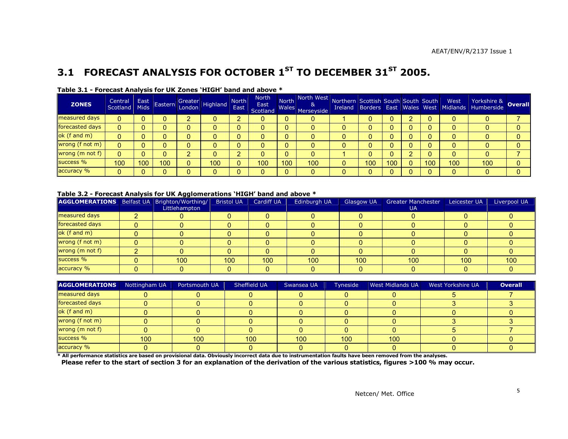### 3.1 FORECAST ANALYSIS FOR OCTOBER  $1^{ST}$  TO DECEMBER 31 $^{ST}$  2005.

| <b>ZONES</b>    | Central<br>Scotland Mids | East | Eastern |   | Greater Highland | North<br>East | North<br>East<br>Scotland | <b>North</b> | North West Northern Scottish South South South<br>&<br>ma Wales Merseyside |     |     |     | West | Yorkshire & Overall<br>Ireland Borders East Wales West Midlands Humberside |             |
|-----------------|--------------------------|------|---------|---|------------------|---------------|---------------------------|--------------|----------------------------------------------------------------------------|-----|-----|-----|------|----------------------------------------------------------------------------|-------------|
| measured days   |                          |      |         |   |                  | c             |                           | 0            | 0                                                                          |     |     |     |      |                                                                            |             |
| forecasted days |                          |      |         |   |                  |               |                           | 0            | 0                                                                          |     |     |     |      |                                                                            | 0           |
| ok (f and m)    |                          |      |         |   |                  |               |                           | $\Omega$     | 0                                                                          |     |     |     |      |                                                                            | 0           |
| wrong (f not m) |                          |      |         |   |                  |               |                           | $\Omega$     | 0                                                                          |     |     |     |      |                                                                            | 0           |
| wrong (m not f) |                          |      |         |   |                  |               |                           | $\Omega$     | 0                                                                          |     |     |     |      |                                                                            |             |
| success %       | 100                      | 100  | 100     | 0 | 100              |               | 100                       | 100          | 100                                                                        | 100 | 100 | 100 | 100  | 100                                                                        | $\mathbf 0$ |
| accuracy %      |                          |      |         |   |                  |               |                           | $\Omega$     | 0                                                                          |     |     |     |      |                                                                            |             |

#### Table 3.1 - Forecast Analysis for UK Zones 'HIGH' band and above \*

#### Table 3.2 - Forecast Analysis for UK Agglomerations 'HIGH' band and above \*

| <b>AGGLOMERATIONS</b> Belfast UA Brighton/Worthing/ | Littlehampton | <b>Bristol UA</b> | Cardiff UA | Edinburgh UA | <b>Glasgow UA</b> | <b>Greater Manchester</b><br>UA | Leicester UA | Liverpool UA |
|-----------------------------------------------------|---------------|-------------------|------------|--------------|-------------------|---------------------------------|--------------|--------------|
| measured days                                       |               |                   |            |              |                   |                                 |              |              |
| forecasted days                                     |               |                   |            |              |                   |                                 |              |              |
| ok (f and m)                                        |               |                   |            |              |                   |                                 |              |              |
| wrong (f not m)                                     |               |                   |            |              |                   |                                 |              |              |
| wrong (m not f)                                     |               |                   |            |              |                   |                                 |              |              |
| success %                                           | 100           | 100               | 100        | 100          | 100               | 100                             | 100          | 100          |
| accuracy %                                          |               |                   |            |              |                   |                                 |              |              |

| <b>AGGLOMERATIONS</b> | Nottingham UA                                                                                                                                           | Portsmouth UA | Sheffield UA | Swansea UA | Tyneside | <b>West Midlands UA</b> | West Yorkshire UA | <b>Overall</b> |  |  |  |  |
|-----------------------|---------------------------------------------------------------------------------------------------------------------------------------------------------|---------------|--------------|------------|----------|-------------------------|-------------------|----------------|--|--|--|--|
| measured days         |                                                                                                                                                         |               |              |            |          |                         |                   |                |  |  |  |  |
| forecasted days       |                                                                                                                                                         |               |              |            |          |                         |                   |                |  |  |  |  |
| ok(f and m)           |                                                                                                                                                         |               |              |            |          |                         |                   |                |  |  |  |  |
| wrong (f not m)       |                                                                                                                                                         |               |              |            |          |                         |                   |                |  |  |  |  |
| wrong (m not f)       |                                                                                                                                                         |               |              |            |          |                         |                   |                |  |  |  |  |
| success %             | 100                                                                                                                                                     | 100           | 100          | 100        | 100      | 100                     |                   |                |  |  |  |  |
| accuracy %            |                                                                                                                                                         |               |              |            |          |                         |                   |                |  |  |  |  |
|                       | * All performance statistics are based on provisional data. Obviously incorrect data due to instrumentation faults have been removed from the analyses. |               |              |            |          |                         |                   |                |  |  |  |  |

Please refer to the start of section 3 for an explanation of the derivation of the various statistics, figures >100 % may occur.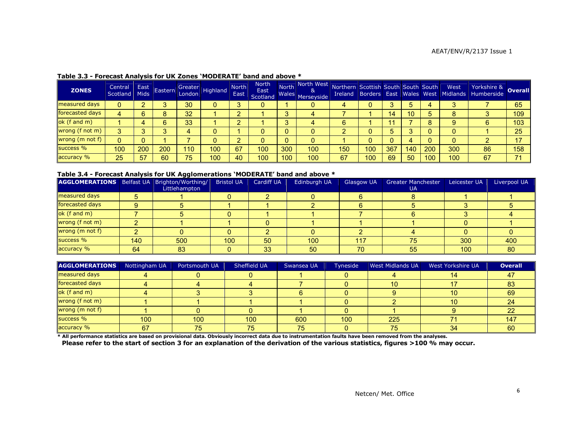| <b>ZONES</b>    | Central<br>Scotland | East<br>Mids <sup>1</sup> | Eastern | London | <b>Arn</b> Greater Highland | <b>North</b><br><b>East</b> | <b>North</b><br>East<br>Scotland | <b>North</b><br>Wales | North West<br>&<br>Merseyside | Northern Scottish South South South<br><b>Ireland</b> |     |     |     |     | West<br>Borders East Wales West Midlands | Yorkshire & Overall |     |
|-----------------|---------------------|---------------------------|---------|--------|-----------------------------|-----------------------------|----------------------------------|-----------------------|-------------------------------|-------------------------------------------------------|-----|-----|-----|-----|------------------------------------------|---------------------|-----|
| measured days   |                     |                           |         | 30     |                             |                             | υ                                |                       | U                             |                                                       |     |     |     |     |                                          |                     | 65  |
| forecasted days |                     |                           |         | 32     |                             |                             |                                  | w                     |                               |                                                       |     | 14  | 10  |     |                                          |                     | 109 |
| ok (f and m)    |                     |                           |         | 33     |                             |                             |                                  | w                     |                               |                                                       |     |     |     |     | 9                                        |                     | 103 |
| wrong (f not m) | o                   |                           |         |        |                             |                             | υ                                |                       |                               |                                                       |     |     |     |     |                                          |                     | 25  |
| wrong (m not f) |                     |                           |         |        |                             |                             | U                                |                       |                               |                                                       |     |     |     |     |                                          |                     | 17  |
| success %       | 100                 | 200                       | 200     | 110    | 100                         | 67                          | 100                              | 300                   | 100                           | 150                                                   | 100 | 367 | 140 | 200 | 300                                      | 86                  | 158 |
| accuracy %      | 25                  | 57                        | 60      | 75     | 100                         | 40                          | 100                              | 100                   | 100                           | 67                                                    | 100 | 69  | 50  | 100 | 100                                      | 67                  | 74  |

#### Table 3.3 - Forecast Analysis for UK Zones 'MODERATE' band and above \*

#### Table 3.4 - Forecast Analysis for UK Agglomerations 'MODERATE' band and above \*

| AGGLOMERATIONS   Belfast UA   Brighton/Worthing/ |     | Littlehampton | <b>Bristol UA</b> | <b>Cardiff UA</b> | Edinburgh UA | Glasgow UA | <b>Greater Manchester</b><br>UA. | Leicester UA | Liverpool UA |
|--------------------------------------------------|-----|---------------|-------------------|-------------------|--------------|------------|----------------------------------|--------------|--------------|
| measured days                                    |     |               |                   |                   |              |            |                                  |              |              |
| forecasted days                                  |     |               |                   |                   |              |            |                                  |              |              |
| ok (f and m)                                     |     |               |                   |                   |              |            |                                  |              |              |
| wrong (f not m)                                  |     |               |                   |                   |              |            |                                  |              |              |
| wrong (m not f)                                  |     |               |                   |                   |              |            |                                  |              |              |
| success %                                        | 140 | 500           | 100               | 50                | 100          | 117        | 75                               | 300          | 400          |
| accuracy %                                       | 64  | 83            |                   | 33                | 50           | 70         | 55                               | 100          | 80           |

| <b>AGGLOMERATIONS</b>                                                                                                                                   | Nottingham UA | Portsmouth UA | Sheffield UA | Swansea UA | Tyneside | <b>West Midlands UA</b> | West Yorkshire UA | <b>Overall</b> |
|---------------------------------------------------------------------------------------------------------------------------------------------------------|---------------|---------------|--------------|------------|----------|-------------------------|-------------------|----------------|
| measured days                                                                                                                                           |               |               |              |            |          |                         |                   | 47             |
| forecasted days                                                                                                                                         |               |               |              |            |          |                         |                   | 83             |
| ok (f and m)                                                                                                                                            |               |               |              |            |          |                         |                   | 69             |
| wrong (f not m)                                                                                                                                         |               |               |              |            |          |                         | IО                |                |
| wrong (m not f)                                                                                                                                         |               |               |              |            |          |                         |                   | 22             |
| success %                                                                                                                                               | 100           | 100           | 100          | 600        | 100      | 225                     |                   |                |
| accuracy %                                                                                                                                              | 67            |               | 75           |            |          |                         |                   | 60             |
| * All performance statistics are based on provisional data. Obviously incorrect data due to instrumentation faults have been removed from the analyses. |               |               |              |            |          |                         |                   |                |

Please refer to the start of section 3 for an explanation of the derivation of the various statistics, figures >100 % may occur.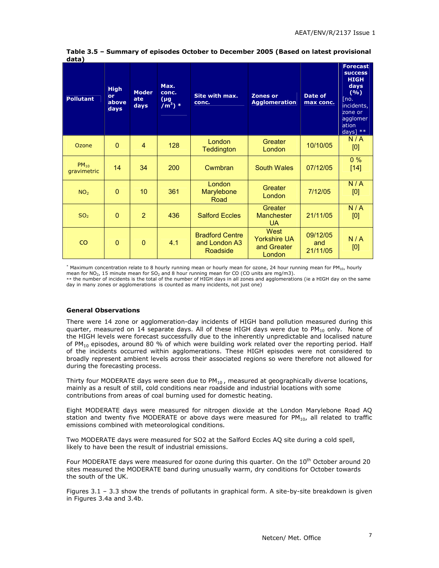| <b>Pollutant</b>         | <b>High</b><br>or<br>above<br>days | <b>Moder</b><br>ate<br>days | Max.<br>conc.<br>$(\mu g)$<br>$/m^3$ ) * | Site with max.<br>conc.                             | <b>Zones or</b><br><b>Agglomeration</b>              | Date of<br>max conc.        | <b>Forecast</b><br><b>SUCCESS</b><br><b>HIGH</b><br>days<br>(9/6)<br>Tno.<br>incidents,<br>zone or<br>agglomer<br>ation<br>days $]**$ |
|--------------------------|------------------------------------|-----------------------------|------------------------------------------|-----------------------------------------------------|------------------------------------------------------|-----------------------------|---------------------------------------------------------------------------------------------------------------------------------------|
| Ozone                    | $\mathbf{0}$                       | $\overline{4}$              | 128                                      | London<br><b>Teddington</b>                         | Greater<br>London                                    | 10/10/05                    | N/A<br>[0]                                                                                                                            |
| $PM_{10}$<br>gravimetric | 14                                 | 34                          | 200                                      | Cwmbran                                             | <b>South Wales</b>                                   | 07/12/05                    | $0\%$<br>$[14]$                                                                                                                       |
| NO <sub>2</sub>          | $\Omega$                           | 10                          | 361                                      | London<br>Marylebone<br>Road                        | Greater<br>London                                    | 7/12/05                     | N/A<br>[0]                                                                                                                            |
| SO <sub>2</sub>          | $\overline{0}$                     | $\overline{2}$              | 436                                      | <b>Salford Eccles</b>                               | Greater<br><b>Manchester</b><br><b>UA</b>            | 21/11/05                    | N/A<br>[0]                                                                                                                            |
| <b>CO</b>                | $\Omega$                           | $\Omega$                    | 4.1                                      | <b>Bradford Centre</b><br>and London A3<br>Roadside | West<br><b>Yorkshire UA</b><br>and Greater<br>London | 09/12/05<br>and<br>21/11/05 | N/A<br>[0]                                                                                                                            |

#### Table 3.5 – Summary of episodes October to December 2005 (Based on latest provisional data)

\* Maximum concentration relate to 8 hourly running mean or hourly mean for ozone, 24 hour running mean for PM<sub>10</sub>, hourly

mean for NO<sub>2</sub>, 15 minute mean for SO<sub>2</sub> and 8 hour running mean for CO (CO units are mg/m3).<br>\*\* the number of incidents is the total of the number of HIGH days in all zones and agglomerations (ie a HIGH day on the same day in many zones or agglomerations is counted as many incidents, not just one)

#### General Observations

There were 14 zone or agglomeration-day incidents of HIGH band pollution measured during this quarter, measured on 14 separate days. All of these HIGH days were due to  $PM<sub>10</sub>$  only. None of the HIGH levels were forecast successfully due to the inherently unpredictable and localised nature of PM $_{10}$  episodes, around 80 % of which were building work related over the reporting period. Half of the incidents occurred within agglomerations. These HIGH episodes were not considered to broadly represent ambient levels across their associated regions so were therefore not allowed for during the forecasting process.

Thirty four MODERATE days were seen due to  $PM_{10}$ , measured at geographically diverse locations, mainly as a result of still, cold conditions near roadside and industrial locations with some contributions from areas of coal burning used for domestic heating.

Eight MODERATE days were measured for nitrogen dioxide at the London Marylebone Road AQ station and twenty five MODERATE or above days were measured for  $PM_{10}$ , all related to traffic emissions combined with meteorological conditions.

Two MODERATE days were measured for SO2 at the Salford Eccles AQ site during a cold spell, likely to have been the result of industrial emissions.

Four MODERATE days were measured for ozone during this quarter. On the  $10<sup>th</sup>$  October around 20 sites measured the MODERATE band during unusually warm, dry conditions for October towards the south of the UK.

Figures 3.1 – 3.3 show the trends of pollutants in graphical form. A site-by-site breakdown is given in Figures 3.4a and 3.4b.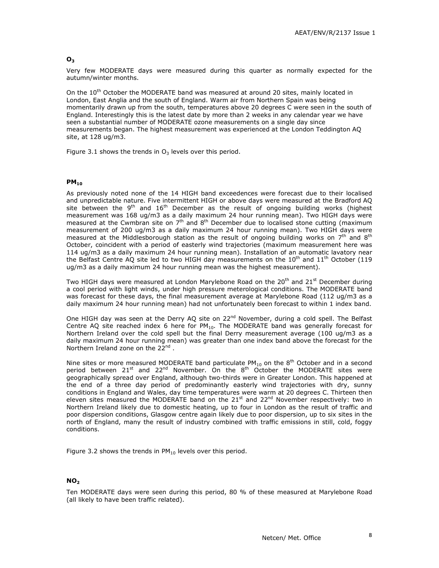#### $O<sub>3</sub>$

Very few MODERATE days were measured during this quarter as normally expected for the autumn/winter months.

On the 10<sup>th</sup> October the MODERATE band was measured at around 20 sites, mainly located in London, East Anglia and the south of England. Warm air from Northern Spain was being momentarily drawn up from the south, temperatures above 20 degrees C were seen in the south of England. Interestingly this is the latest date by more than 2 weeks in any calendar year we have seen a substantial number of MODERATE ozone measurements on a single day since measurements began. The highest measurement was experienced at the London Teddington AQ site, at 128 ug/m3.

Figure 3.1 shows the trends in  $O_3$  levels over this period.

#### $PM<sub>10</sub>$

As previously noted none of the 14 HIGH band exceedences were forecast due to their localised and unpredictable nature. Five intermittent HIGH or above days were measured at the Bradford AQ site between the 9<sup>th</sup> and 16<sup>th</sup> December as the result of ongoing building works (highest measurement was 168 ug/m3 as a daily maximum 24 hour running mean). Two HIGH days were measured at the Cwmbran site on  $7<sup>th</sup>$  and  $8<sup>th</sup>$  December due to localised stone cutting (maximum measurement of 200 ug/m3 as a daily maximum 24 hour running mean). Two HIGH days were measured at the Middlesborough station as the result of ongoing building works on  $7<sup>th</sup>$  and  $8<sup>th</sup>$ October, coincident with a period of easterly wind trajectories (maximum measurement here was 114 ug/m3 as a daily maximum 24 hour running mean). Installation of an automatic lavatory near the Belfast Centre AQ site led to two HIGH day measurements on the  $10^{th}$  and  $11^{th}$  October (119 ug/m3 as a daily maximum 24 hour running mean was the highest measurement).

Two HIGH days were measured at London Marylebone Road on the 20<sup>th</sup> and 21<sup>st</sup> December during a cool period with light winds, under high pressure meterological conditions. The MODERATE band was forecast for these days, the final measurement average at Marylebone Road (112 ug/m3 as a daily maximum 24 hour running mean) had not unfortunately been forecast to within 1 index band.

One HIGH day was seen at the Derry AQ site on 22<sup>nd</sup> November, during a cold spell. The Belfast Centre AQ site reached index 6 here for  $PM_{10}$ . The MODERATE band was generally forecast for Northern Ireland over the cold spell but the final Derry measurement average (100 ug/m3 as a daily maximum 24 hour running mean) was greater than one index band above the forecast for the Northern Ireland zone on the 22<sup>nd</sup>.

Nine sites or more measured MODERATE band particulate PM<sub>10</sub> on the 8<sup>th</sup> October and in a second period between  $21^{st}$  and  $22^{nd}$  November. On the  $8^{th}$  October the MODERATE sites were geographically spread over England, although two-thirds were in Greater London. This happened at the end of a three day period of predominantly easterly wind trajectories with dry, sunny conditions in England and Wales, day time temperatures were warm at 20 degrees C. Thirteen then eleven sites measured the MODERATE band on the  $21^{st}$  and  $22^{nd}$  November respectively: two in Northern Ireland likely due to domestic heating, up to four in London as the result of traffic and poor dispersion conditions, Glasgow centre again likely due to poor dispersion, up to six sites in the north of England, many the result of industry combined with traffic emissions in still, cold, foggy conditions.

Figure 3.2 shows the trends in  $PM_{10}$  levels over this period.

#### $NO<sub>2</sub>$

Ten MODERATE days were seen during this period, 80 % of these measured at Marylebone Road (all likely to have been traffic related).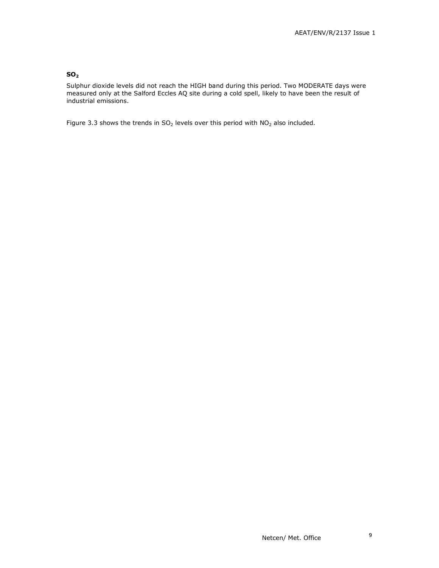#### $SO<sub>2</sub>$

Sulphur dioxide levels did not reach the HIGH band during this period. Two MODERATE days were measured only at the Salford Eccles AQ site during a cold spell, likely to have been the result of industrial emissions.

Figure 3.3 shows the trends in  $SO_2$  levels over this period with  $NO_2$  also included.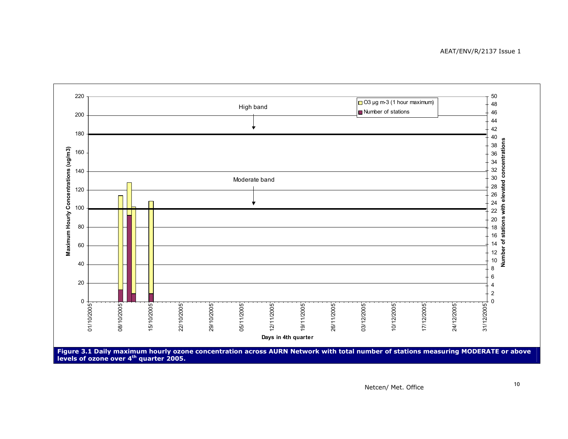AEAT/ENV/R/2137 Issue 1



levels of ozone over 4th quarter 2005.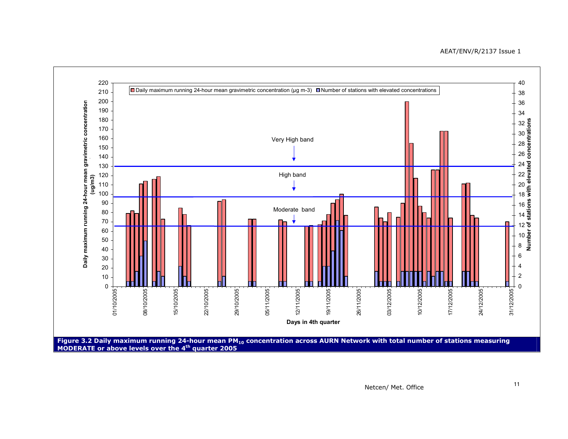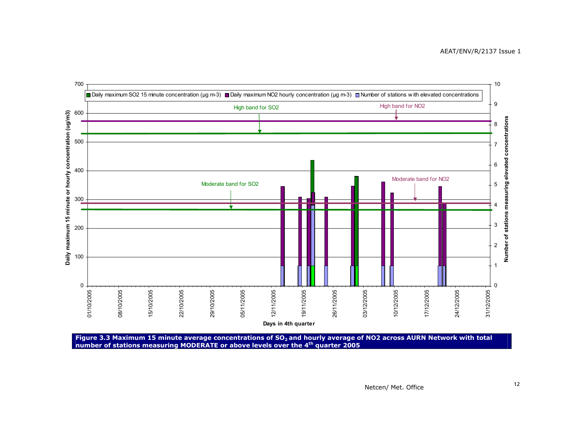

Figure 3.3 Maximum 15 minute average concentrations of SO<sub>2</sub> and hourly average of NO2 across AURN Network with total<br>number of stations measuring MODERATE or above levels over the 4<sup>th</sup> quarter 2005

Netcen/ Met. Officee and the set of the set of the set of the set of the set of the set of the set of the set of the set of the s<br>Alternative set of the set of the set of the set of the set of the set of the set of the set of the set of the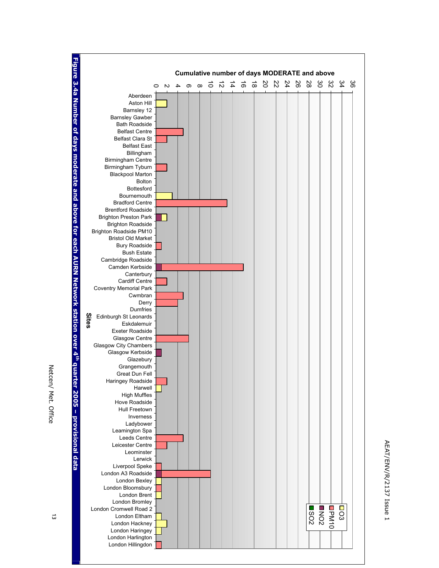

AEAT/ENV/R/2137 Issue 1

AEAT/ENV/R/2137 Issue 1

# Netcen/ Met. Office Netcen/ Met. Office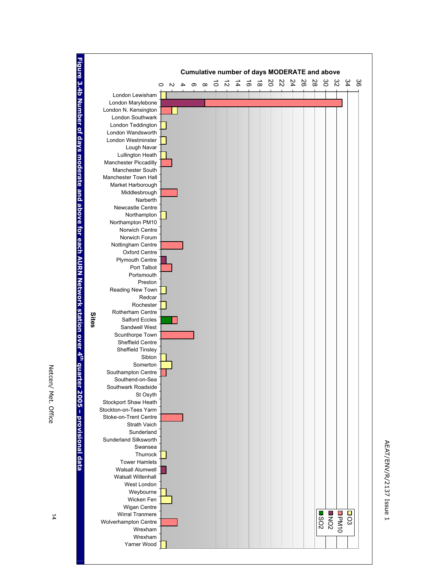



Netcen/ Met. Office Netcen/ Met. Office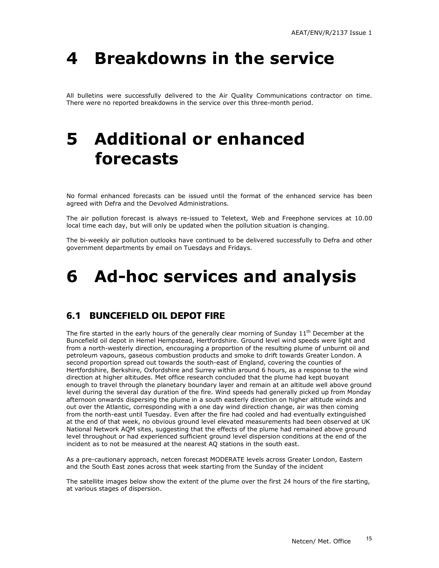# 4 Breakdowns in the service

All bulletins were successfully delivered to the Air Quality Communications contractor on time. There were no reported breakdowns in the service over this three-month period.

# 5 Additional or enhanced forecasts

No formal enhanced forecasts can be issued until the format of the enhanced service has been agreed with Defra and the Devolved Administrations.

The air pollution forecast is always re-issued to Teletext, Web and Freephone services at 10.00 local time each day, but will only be updated when the pollution situation is changing.

The bi-weekly air pollution outlooks have continued to be delivered successfully to Defra and other government departments by email on Tuesdays and Fridays.

# 6 Ad-hoc services and analysis

### 6.1 BUNCEFIELD OIL DEPOT FIRE

The fire started in the early hours of the generally clear morning of Sunday  $11<sup>th</sup>$  December at the Buncefield oil depot in Hemel Hempstead, Hertfordshire. Ground level wind speeds were light and from a north-westerly direction, encouraging a proportion of the resulting plume of unburnt oil and petroleum vapours, gaseous combustion products and smoke to drift towards Greater London. A second proportion spread out towards the south-east of England, covering the counties of Hertfordshire, Berkshire, Oxfordshire and Surrey within around 6 hours, as a response to the wind direction at higher altitudes. Met office research concluded that the plume had kept buoyant enough to travel through the planetary boundary layer and remain at an altitude well above ground level during the several day duration of the fire. Wind speeds had generally picked up from Monday afternoon onwards dispersing the plume in a south easterly direction on higher altitude winds and out over the Atlantic, corresponding with a one day wind direction change, air was then coming from the north-east until Tuesday. Even after the fire had cooled and had eventually extinguished at the end of that week, no obvious ground level elevated measurements had been observed at UK National Network AQM sites, suggesting that the effects of the plume had remained above ground level throughout or had experienced sufficient ground level dispersion conditions at the end of the incident as to not be measured at the nearest AQ stations in the south east.

As a pre-cautionary approach, netcen forecast MODERATE levels across Greater London, Eastern and the South East zones across that week starting from the Sunday of the incident

The satellite images below show the extent of the plume over the first 24 hours of the fire starting, at various stages of dispersion.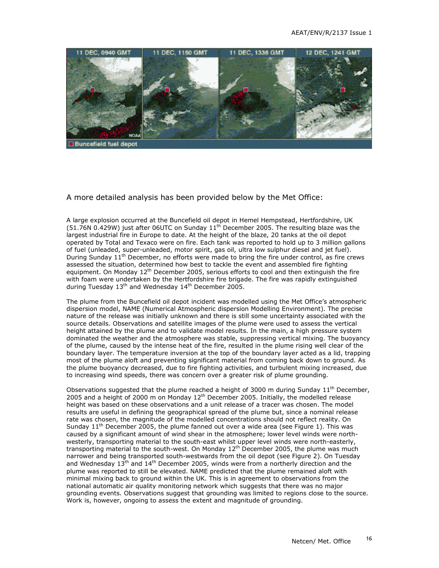

A more detailed analysis has been provided below by the Met Office:

A large explosion occurred at the Buncefield oil depot in Hemel Hempstead, Hertfordshire, UK (51.76N 0.429W) just after 06UTC on Sunday  $11<sup>th</sup>$  December 2005. The resulting blaze was the largest industrial fire in Europe to date. At the height of the blaze, 20 tanks at the oil depot operated by Total and Texaco were on fire. Each tank was reported to hold up to 3 million gallons of fuel (unleaded, super-unleaded, motor spirit, gas oil, ultra low sulphur diesel and jet fuel). During Sunday  $11<sup>th</sup>$  December, no efforts were made to bring the fire under control, as fire crews assessed the situation, determined how best to tackle the event and assembled fire fighting equipment. On Monday  $12<sup>th</sup>$  December 2005, serious efforts to cool and then extinguish the fire with foam were undertaken by the Hertfordshire fire brigade. The fire was rapidly extinguished during Tuesday 13<sup>th</sup> and Wednesday 14<sup>th</sup> December 2005.

The plume from the Buncefield oil depot incident was modelled using the Met Office's atmospheric dispersion model, NAME (Numerical Atmospheric dispersion Modelling Environment). The precise nature of the release was initially unknown and there is still some uncertainty associated with the source details. Observations and satellite images of the plume were used to assess the vertical height attained by the plume and to validate model results. In the main, a high pressure system dominated the weather and the atmosphere was stable, suppressing vertical mixing. The buoyancy of the plume, caused by the intense heat of the fire, resulted in the plume rising well clear of the boundary layer. The temperature inversion at the top of the boundary layer acted as a lid, trapping most of the plume aloft and preventing significant material from coming back down to ground. As the plume buoyancy decreased, due to fire fighting activities, and turbulent mixing increased, due to increasing wind speeds, there was concern over a greater risk of plume grounding.

Observations suggested that the plume reached a height of 3000 m during Sunday  $11<sup>th</sup>$  December, 2005 and a height of 2000 m on Monday  $12<sup>th</sup>$  December 2005. Initially, the modelled release height was based on these observations and a unit release of a tracer was chosen. The model results are useful in defining the geographical spread of the plume but, since a nominal release rate was chosen, the magnitude of the modelled concentrations should not reflect reality. On Sunday  $11^{th}$  December 2005, the plume fanned out over a wide area (see Figure 1). This was caused by a significant amount of wind shear in the atmosphere; lower level winds were northwesterly, transporting material to the south-east whilst upper level winds were north-easterly, transporting material to the south-west. On Monday  $12<sup>th</sup>$  December 2005, the plume was much narrower and being transported south-westwards from the oil depot (see Figure 2). On Tuesday and Wednesday  $13<sup>th</sup>$  and  $14<sup>th</sup>$  December 2005, winds were from a northerly direction and the plume was reported to still be elevated. NAME predicted that the plume remained aloft with minimal mixing back to ground within the UK. This is in agreement to observations from the national automatic air quality monitoring network which suggests that there was no major grounding events. Observations suggest that grounding was limited to regions close to the source. Work is, however, ongoing to assess the extent and magnitude of grounding.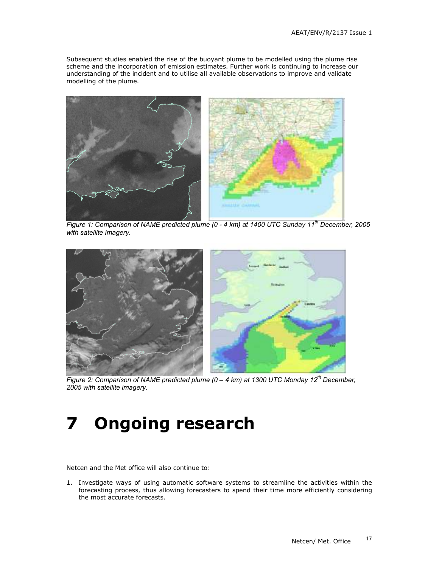Subsequent studies enabled the rise of the buoyant plume to be modelled using the plume rise scheme and the incorporation of emission estimates. Further work is continuing to increase our understanding of the incident and to utilise all available observations to improve and validate modelling of the plume.



Figure 1: Comparison of NAME predicted plume (0 - 4 km) at 1400 UTC Sunday 11<sup>th</sup> December, 2005 with satellite imagery.



Figure 2: Comparison of NAME predicted plume (0 – 4 km) at 1300 UTC Monday 12<sup>th</sup> December, 2005 with satellite imagery.

# 7 Ongoing research

Netcen and the Met office will also continue to:

1. Investigate ways of using automatic software systems to streamline the activities within the forecasting process, thus allowing forecasters to spend their time more efficiently considering the most accurate forecasts.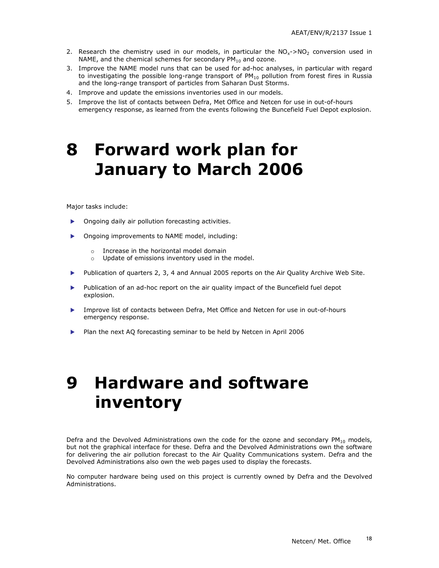- 2. Research the chemistry used in our models, in particular the  $NO<sub>x</sub>$ ->NO<sub>2</sub> conversion used in NAME, and the chemical schemes for secondary  $PM_{10}$  and ozone.
- 3. Improve the NAME model runs that can be used for ad-hoc analyses, in particular with regard to investigating the possible long-range transport of  $PM_{10}$  pollution from forest fires in Russia and the long-range transport of particles from Saharan Dust Storms.
- 4. Improve and update the emissions inventories used in our models.
- 5. Improve the list of contacts between Defra, Met Office and Netcen for use in out-of-hours emergency response, as learned from the events following the Buncefield Fuel Depot explosion.

# 8 Forward work plan for January to March 2006

Major tasks include:

- Ongoing daily air pollution forecasting activities.
- Ongoing improvements to NAME model, including:
	- o Increase in the horizontal model domain
	- o Update of emissions inventory used in the model.
- **Publication of quarters 2, 3, 4 and Annual 2005 reports on the Air Quality Archive Web Site.**
- Publication of an ad-hoc report on the air quality impact of the Buncefield fuel depot explosion.
- Improve list of contacts between Defra, Met Office and Netcen for use in out-of-hours emergency response.
- Plan the next AQ forecasting seminar to be held by Netcen in April 2006

# 9 Hardware and software inventory

Defra and the Devolved Administrations own the code for the ozone and secondary  $PM_{10}$  models, but not the graphical interface for these. Defra and the Devolved Administrations own the software for delivering the air pollution forecast to the Air Quality Communications system. Defra and the Devolved Administrations also own the web pages used to display the forecasts.

No computer hardware being used on this project is currently owned by Defra and the Devolved Administrations.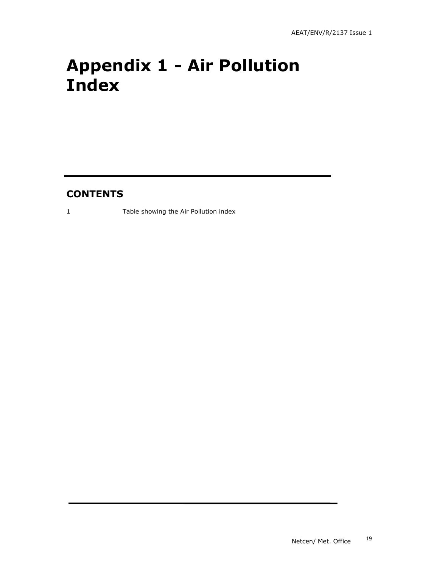# Appendix 1 - Air Pollution Index

### **CONTENTS**

1 Table showing the Air Pollution index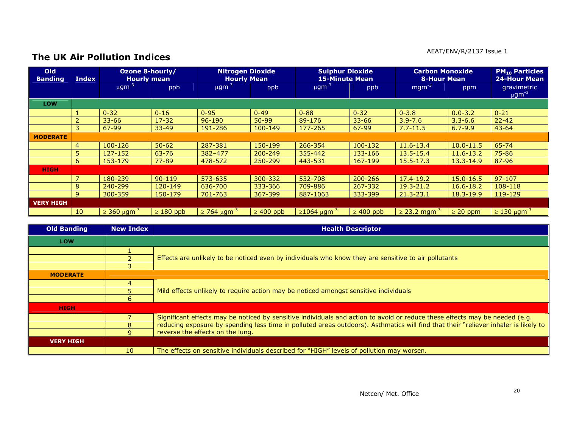#### AEAT/ENV/R/2137 Issue 1

### The UK Air Pollution Indices

| <b>Old</b><br><b>Banding</b> | <b>Index</b>   | Ozone 8-hourly/<br><b>Hourly mean</b> |                | <b>Nitrogen Dioxide</b><br><b>Hourly Mean</b> |                | <b>Sulphur Dioxide</b><br><b>15-Minute Mean</b> |                | <b>Carbon Monoxide</b><br><b>8-Hour Mean</b> |               | <b>PM<sub>10</sub> Particles</b><br><b>24-Hour Mean</b> |
|------------------------------|----------------|---------------------------------------|----------------|-----------------------------------------------|----------------|-------------------------------------------------|----------------|----------------------------------------------|---------------|---------------------------------------------------------|
|                              |                | $\mu$ gm <sup>-3</sup><br>ppb         |                | $\mu$ gm <sup>-3</sup>                        | ppb            | $\mu$ gm <sup>-3</sup>                          | ppb            | $mgm^{-3}$                                   | ppm           | gravimetric<br>$\mu$ gm <sup>-3</sup>                   |
| LOW                          |                |                                       |                |                                               |                |                                                 |                |                                              |               |                                                         |
|                              |                | $0 - 32$                              | $0 - 16$       | $0 - 95$                                      | $0 - 49$       | $0 - 88$                                        | $0 - 32$       | $0 - 3.8$                                    | $0.0 - 3.2$   | $0 - 21$                                                |
|                              | $\overline{2}$ | $33 - 66$                             | $17 - 32$      | $96 - 190$                                    | 50-99          | 89-176                                          | $33 - 66$      | $3.9 - 7.6$                                  | $3.3 - 6.6$   | $22 - 42$                                               |
|                              | 3              | 67-99                                 | $33 - 49$      | 191-286                                       | $100 - 149$    | 177-265                                         | 67-99          | $7.7 - 11.5$                                 | $6.7 - 9.9$   | $43 - 64$                                               |
| <b>MODERATE</b>              |                |                                       |                |                                               |                |                                                 |                |                                              |               |                                                         |
|                              | 4              | 100-126                               | $50 - 62$      | 287-381                                       | 150-199        | 266-354                                         | 100-132        | 11.6-13.4                                    | $10.0 - 11.5$ | 65-74                                                   |
|                              | 5              | 127-152                               | $63 - 76$      | $382 - 477$                                   | 200-249        | 355-442                                         | 133-166        | 13.5-15.4                                    | $11.6 - 13.2$ | 75-86                                                   |
|                              | 6              | 153-179                               | 77-89          | 478-572                                       | 250-299        | 443-531                                         | 167-199        | 15.5-17.3                                    | 13.3-14.9     | 87-96                                                   |
| <b>HIGH</b>                  |                |                                       |                |                                               |                |                                                 |                |                                              |               |                                                         |
|                              |                | 180-239                               | $90 - 119$     | 573-635                                       | 300-332        | 532-708                                         | 200-266        | $17.4 - 19.2$                                | $15.0 - 16.5$ | $97 - 107$                                              |
|                              | 8              | 240-299                               | 120-149        | 636-700                                       | 333-366        | 709-886                                         | 267-332        | $19.3 - 21.2$                                | $16.6 - 18.2$ | 108-118                                                 |
|                              | 9              | 300-359                               | 150-179        | 701-763                                       | 367-399        | 887-1063                                        | 333-399        | $21.3 - 23.1$                                | 18.3-19.9     | 119-129                                                 |
| <b>VERY HIGH</b>             |                |                                       |                |                                               |                |                                                 |                |                                              |               |                                                         |
|                              | 10             | $\geq$ 360 µgm <sup>-3</sup>          | $\geq 180$ ppb | $\geq$ 764 $\mu$ gm <sup>-3</sup>             | $\geq 400$ ppb | $\geq$ 1064 µgm <sup>-3</sup>                   | $\geq 400$ ppb | $\geq$ 23.2 mgm <sup>-3</sup>                | $\geq$ 20 ppm | $\geq$ 130 μgm <sup>-3</sup>                            |

| <b>Old Banding</b> | <b>New Index</b> | <b>Health Descriptor</b>                                                                                                            |  |  |  |  |  |  |
|--------------------|------------------|-------------------------------------------------------------------------------------------------------------------------------------|--|--|--|--|--|--|
| <b>LOW</b>         |                  |                                                                                                                                     |  |  |  |  |  |  |
|                    |                  |                                                                                                                                     |  |  |  |  |  |  |
|                    |                  | Effects are unlikely to be noticed even by individuals who know they are sensitive to air pollutants                                |  |  |  |  |  |  |
|                    |                  |                                                                                                                                     |  |  |  |  |  |  |
| <b>MODERATE</b>    |                  |                                                                                                                                     |  |  |  |  |  |  |
|                    |                  |                                                                                                                                     |  |  |  |  |  |  |
|                    |                  | Mild effects unlikely to require action may be noticed amongst sensitive individuals                                                |  |  |  |  |  |  |
|                    | 6                |                                                                                                                                     |  |  |  |  |  |  |
| <b>HIGH</b>        |                  |                                                                                                                                     |  |  |  |  |  |  |
|                    |                  | Significant effects may be noticed by sensitive individuals and action to avoid or reduce these effects may be needed (e.g.         |  |  |  |  |  |  |
|                    |                  | reducing exposure by spending less time in polluted areas outdoors). Asthmatics will find that their "reliever inhaler is likely to |  |  |  |  |  |  |
|                    | q                | reverse the effects on the lung.                                                                                                    |  |  |  |  |  |  |
| <b>VERY HIGH</b>   |                  |                                                                                                                                     |  |  |  |  |  |  |
|                    | 10               | The effects on sensitive individuals described for "HIGH" levels of pollution may worsen.                                           |  |  |  |  |  |  |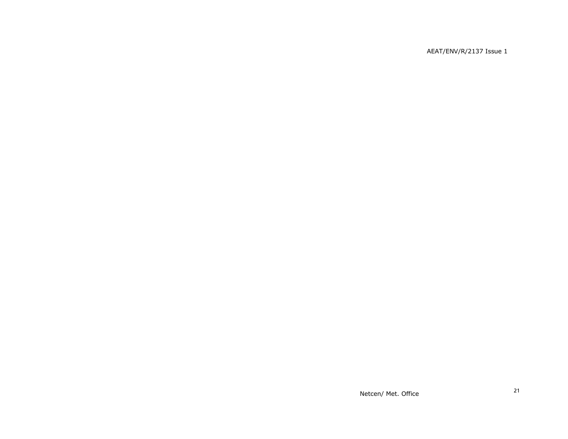AEAT/ENV/R/2137 Issue 1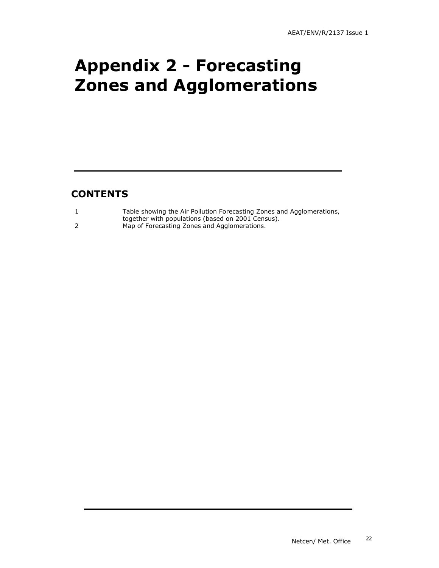# Appendix 2 - Forecasting Zones and Agglomerations

### **CONTENTS**

| Table showing the Air Pollution Forecasting Zones and Agglomerations, |
|-----------------------------------------------------------------------|
| together with populations (based on 2001 Census).                     |
| Map of Forecasting Zones and Agglomerations.                          |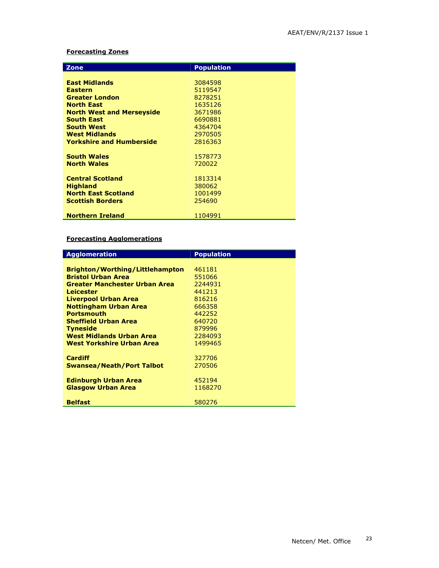#### Forecasting Zones

| Zone                             | <b>Population</b> |
|----------------------------------|-------------------|
|                                  |                   |
| <b>East Midlands</b>             | 3084598           |
| <b>Eastern</b>                   | 5119547           |
| <b>Greater London</b>            | 8278251           |
| <b>North East</b>                | 1635126           |
| <b>North West and Merseyside</b> | 3671986           |
| South East                       | 6690881           |
| <b>South West</b>                | 4364704           |
| <b>West Midlands</b>             | 2970505           |
| <b>Yorkshire and Humberside</b>  | 2816363           |
|                                  |                   |
| <b>South Wales</b>               | 1578773           |
| <b>North Wales</b>               | 720022            |
|                                  |                   |
| <b>Central Scotland</b>          | 1813314           |
| <b>Highland</b>                  | 380062            |
| <b>North East Scotland</b>       | 1001499           |
|                                  |                   |
| <b>Scottish Borders</b>          | 254690            |
|                                  |                   |
| <b>Northern Ireland</b>          | 1104991           |

#### Forecasting Agglomerations

| <b>Agglomeration</b>                   | <b>Population</b> |
|----------------------------------------|-------------------|
|                                        |                   |
| <b>Brighton/Worthing/Littlehampton</b> | 461181            |
| <b>Bristol Urban Area</b>              | 551066            |
| Greater Manchester Urban Area          | 2244931           |
| <b>Leicester</b>                       | 441213            |
| <b>Liverpool Urban Area</b>            | 816216            |
| <b>Nottingham Urban Area</b>           | 666358            |
| <b>Portsmouth</b>                      | 442252            |
| <b>Sheffield Urban Area</b>            | 640720            |
| <b>Tyneside</b>                        | 879996            |
| West Midlands Urban Area               | 2284093           |
| <b>West Yorkshire Urban Area</b>       | 1499465           |
|                                        |                   |
| <b>Cardiff</b>                         | 327706            |
| <b>Swansea/Neath/Port Talbot</b>       | 270506            |
|                                        |                   |
| <b>Edinburgh Urban Area</b>            | 452194            |
| <b>Glasgow Urban Area</b>              | 1168270           |
|                                        |                   |
| <b>Belfast</b>                         | 580276            |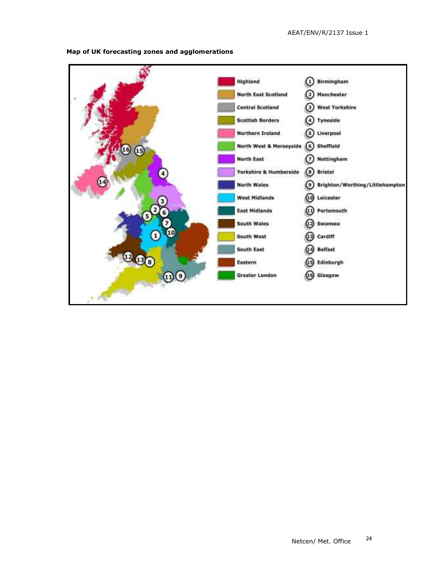

Map of UK forecasting zones and agglomerations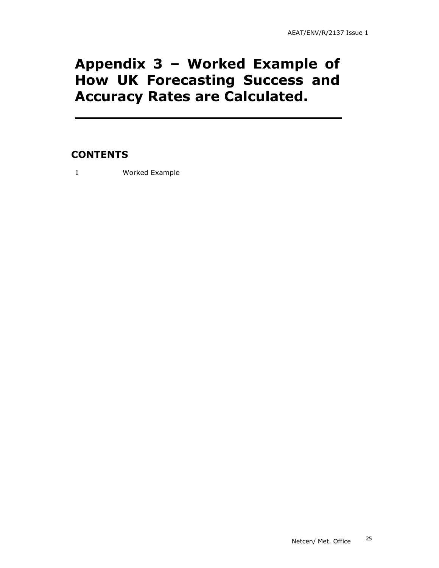### Appendix 3 – Worked Example of How UK Forecasting Success and Accuracy Rates are Calculated.

### **CONTENTS**

1 Worked Example